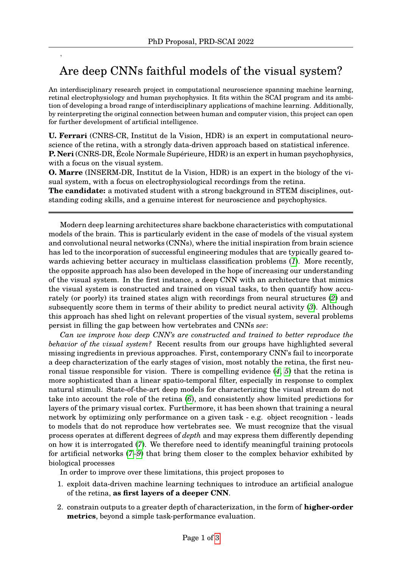,

## Are deep CNNs faithful models of the visual system?

An interdisciplinary research project in computational neuroscience spanning machine learning, retinal electrophysiology and human psychophysics. It fits within the SCAI program and its ambition of developing a broad range of interdisciplinary applications of machine learning. Additionally, by reinterpreting the original connection between human and computer vision, this project can open for further development of artificial intelligence.

**U. Ferrari** (CNRS-CR, Institut de la Vision, HDR) is an expert in computational neuroscience of the retina, with a strongly data-driven approach based on statistical inference. **P. Neri** (CNRS-DR, École Normale Supérieure, HDR) is an expert in human psychophysics, with a focus on the visual system.

**O. Marre** (INSERM-DR, Institut de la Vision, HDR) is an expert in the biology of the visual system, with a focus on electrophysiological recordings from the retina.

**The candidate:** a motivated student with a strong background in STEM disciplines, outstanding coding skills, and a genuine interest for neuroscience and psychophysics.

Modern deep learning architectures share backbone characteristics with computational models of the brain. This is particularly evident in the case of models of the visual system and convolutional neural networks (CNNs), where the initial inspiration from brain science has led to the incorporation of successful engineering modules that are typically geared towards achieving better accuracy in multiclass classification problems (*[1](#page-2-0)*). More recently, the opposite approach has also been developed in the hope of increasing our understanding of the visual system. In the first instance, a deep CNN with an architecture that mimics the visual system is constructed and trained on visual tasks, to then quantify how accurately (or poorly) its trained states align with recordings from neural structures (*[2](#page-2-1)*) and subsequently score them in terms of their ability to predict neural activity (*[3](#page-2-2)*). Although this approach has shed light on relevant properties of the visual system, several problems persist in filling the gap between how vertebrates and CNNs *see*:

*Can we improve how deep CNN's are constructed and trained to better reproduce the behavior of the visual system?* Recent results from our groups have highlighted several missing ingredients in previous approaches. First, contemporary CNN's fail to incorporate a deep characterization of the early stages of vision, most notably the retina, the first neuronal tissue responsible for vision. There is compelling evidence (*[4](#page-2-3)*, *[5](#page-2-4)*) that the retina is more sophisticated than a linear spatio-temporal filter, especially in response to complex natural stimuli. State-of-the-art deep models for characterizing the visual stream do not take into account the role of the retina (*[6](#page-2-5)*), and consistently show limited predictions for layers of the primary visual cortex. Furthermore, it has been shown that training a neural network by optimizing only performance on a given task - e.g. object recognition - leads to models that do not reproduce how vertebrates see. We must recognize that the visual process operates at different degrees of *depth* and may express them differently depending on how it is interrogated (*[7](#page-2-6)*). We therefore need to identify meaningful training protocols for artificial networks (*[7](#page-2-6)*–*[9](#page-2-7)*) that bring them closer to the complex behavior exhibited by biological processes

In order to improve over these limitations, this project proposes to

- 1. exploit data-driven machine learning techniques to introduce an artificial analogue of the retina, **as first layers of a deeper CNN**.
- 2. constrain outputs to a greater depth of characterization, in the form of **higher-order metrics**, beyond a simple task-performance evaluation.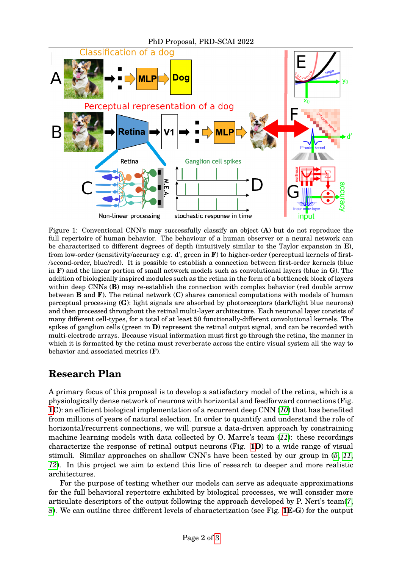<span id="page-1-0"></span>

Figure 1: Conventional CNN's may successfully classify an object (**A**) but do not reproduce the full repertoire of human behavior. The behaviour of a human observer or a neural network can be characterized to different degrees of depth (intuitively similar to the Taylor expansion in **E**), from low-order (sensitivity/accuracy e.g. d', green in **F**) to higher-order (perceptual kernels of first- /second-order, blue/red). It is possible to establish a connection between first-order kernels (blue in **F**) and the linear portion of small network models such as convolutional layers (blue in **G**). The addition of biologically inspired modules such as the retina in the form of a bottleneck block of layers within deep CNNs (**B**) may re-establish the connection with complex behavior (red double arrow between **B** and **F**). The retinal network (**C**) shares canonical computations with models of human perceptual processing (**G**): light signals are absorbed by photoreceptors (dark/light blue neurons) and then processed throughout the retinal multi-layer architecture. Each neuronal layer consists of many different cell-types, for a total of at least 50 functionally-different convolutional kernels. The spikes of ganglion cells (green in **D**) represent the retinal output signal, and can be recorded with multi-electrode arrays. Because visual information must first go through the retina, the manner in which it is formatted by the retina must reverberate across the entire visual system all the way to behavior and associated metrics (**F**).

## **Research Plan**

A primary focus of this proposal is to develop a satisfactory model of the retina, which is a physiologically dense network of neurons with horizontal and feedforward connections (Fig. **[1C](#page-1-0)**): an efficient biological implementation of a recurrent deep CNN (*[10](#page-2-9)*) that has benefited from millions of years of natural selection. In order to quantify and understand the role of horizontal/recurrent connections, we will pursue a data-driven approach by constraining machine learning models with data collected by O. Marre's team (*[11](#page-2-10)*): these recordings characterize the response of retinal output neurons (Fig. **[1D](#page-1-0)**) to a wide range of visual stimuli. Similar approaches on shallow CNN's have been tested by our group in (*[5](#page-2-4)*, *[11](#page-2-10)*, *[12](#page-2-11)*). In this project we aim to extend this line of research to deeper and more realistic architectures.

For the purpose of testing whether our models can serve as adequate approximations for the full behavioral repertoire exhibited by biological processes, we will consider more articulate descriptors of the output following the approach developed by P. Neri's team(*[7](#page-2-6)*, *[8](#page-2-12)*). We can outline three different levels of characterization (see Fig. **[1E](#page-1-0)-G**) for the output